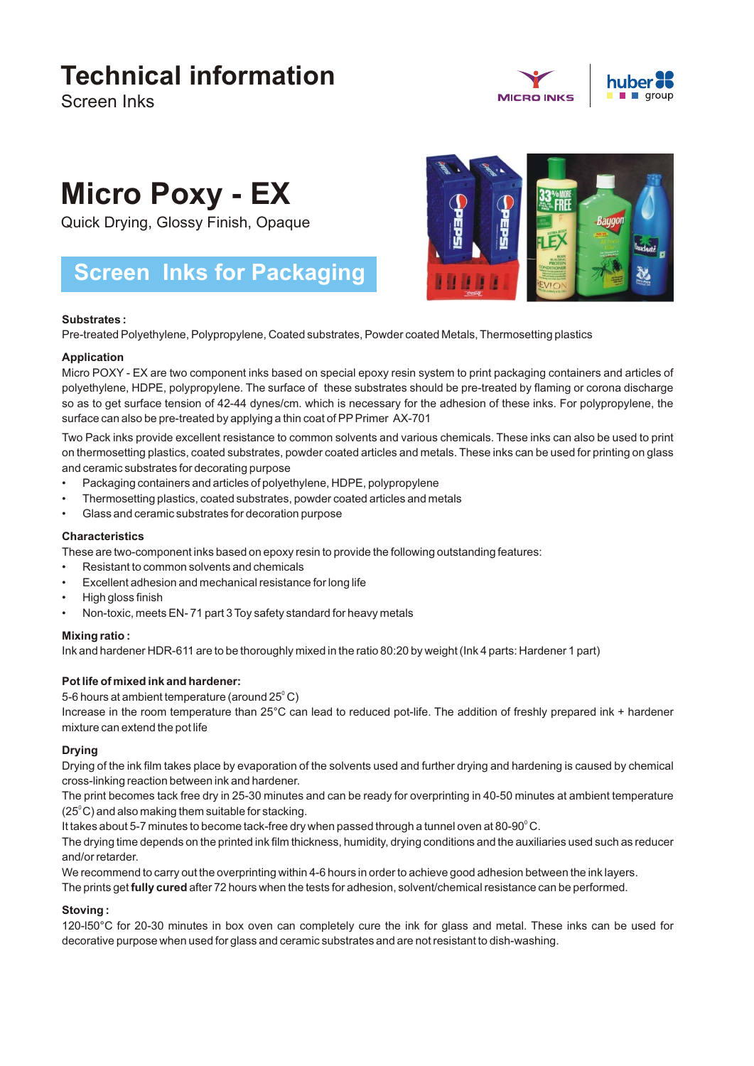## **Technical information**

Screen Inks





# **Micro Poxy - EX**

Quick Drying, Glossy Finish, Opaque

### **Screen Inks for Packaging**



#### **Substrates :**

Pre-treated Polyethylene, Polypropylene, Coated substrates, Powder coated Metals, Thermosetting plastics

#### **Application**

Micro POXY - EX are two component inks based on special epoxy resin system to print packaging containers and articles of polyethylene, HDPE, polypropylene. The surface of these substrates should be pre-treated by flaming or corona discharge so as to get surface tension of 42-44 dynes/cm. which is necessary for the adhesion of these inks. For polypropylene, the surface can also be pre-treated by applying a thin coat of PP Primer AX-701

Two Pack inks provide excellent resistance to common solvents and various chemicals. These inks can also be used to print on thermosetting plastics, coated substrates, powder coated articles and metals. These inks can be used for printing on glass and ceramic substrates for decorating purpose

- Packaging containers and articles of polyethylene, HDPE, polypropylene
- Thermosetting plastics, coated substrates, powder coated articles and metals
- Glass and ceramic substrates for decoration purpose

#### **Characteristics**

These are two-component inks based on epoxy resin to provide the following outstanding features:

- Resistant to common solvents and chemicals
- Excellent adhesion and mechanical resistance for long life
- High gloss finish
- Non-toxic, meets EN- 71 part 3 Toy safety standard for heavy metals

#### **Mixing ratio :**

Ink and hardener HDR-611 are to be thoroughly mixed in the ratio 80:20 by weight (Ink 4 parts: Hardener 1 part)

#### **Pot life of mixed ink and hardener:**

5-6 hours at ambient temperature (around 25 $^{\rm o}$  C)

Increase in the room temperature than 25°C can lead to reduced pot-life. The addition of freshly prepared ink + hardener mixture can extend the pot life

#### **Drying**

Drying of the ink film takes place by evaporation of the solvents used and further drying and hardening is caused by chemical cross-linking reaction between ink and hardener.

The print becomes tack free dry in 25-30 minutes and can be ready for overprinting in 40-50 minutes at ambient temperature  $(25<sup>°</sup>C)$  and also making them suitable for stacking.

It takes about 5-7 minutes to become tack-free dry when passed through a tunnel oven at 80-90 $^{\rm o}$ C.

The drying time depends on the printed ink film thickness, humidity, drying conditions and the auxiliaries used such as reducer and/or retarder.

We recommend to carry out the overprinting within 4-6 hours in order to achieve good adhesion between the ink layers.

The prints get **fully cured** after 72 hours when the tests for adhesion, solvent/chemical resistance can be performed.

#### **Stoving :**

120-l50°C for 20-30 minutes in box oven can completely cure the ink for glass and metal. These inks can be used for decorative purpose when used for glass and ceramic substrates and are not resistant to dish-washing.